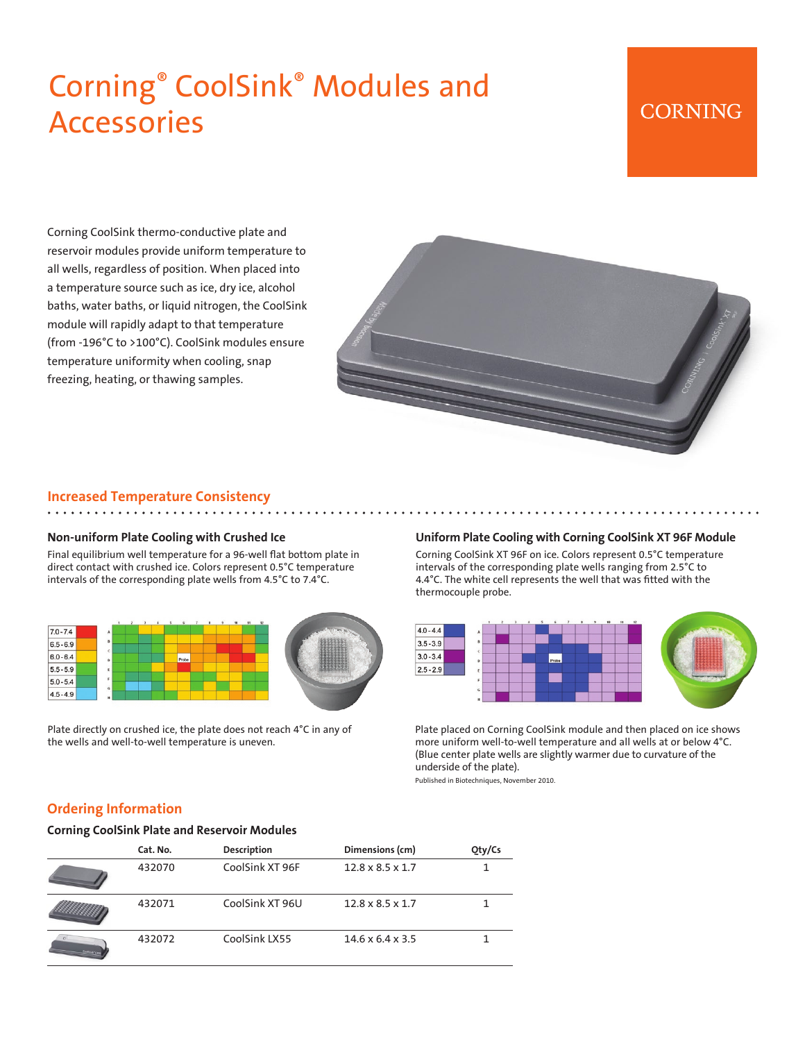# Corning® CoolSink® Modules and Accessories

# **CORNING**

Corning CoolSink thermo-conductive plate and reservoir modules provide uniform temperature to all wells, regardless of position. When placed into a temperature source such as ice, dry ice, alcohol baths, water baths, or liquid nitrogen, the CoolSink module will rapidly adapt to that temperature (from -196°C to >100°C). CoolSink modules ensure temperature uniformity when cooling, snap freezing, heating, or thawing samples.



#### **Increased Temperature Consistency**

#### **Non-uniform Plate Cooling with Crushed Ice**

Final equilibrium well temperature for a 96-well flat bottom plate in direct contact with crushed ice. Colors represent 0.5°C temperature intervals of the corresponding plate wells from 4.5°C to 7.4°C.



Plate directly on crushed ice, the plate does not reach 4°C in any of the wells and well-to-well temperature is uneven.

#### **Uniform Plate Cooling with Corning CoolSink XT 96F Module**

Corning CoolSink XT 96F on ice. Colors represent 0.5°C temperature intervals of the corresponding plate wells ranging from 2.5°C to 4.4°C. The white cell represents the well that was fitted with the thermocouple probe.



Plate placed on Corning CoolSink module and then placed on ice shows more uniform well-to-well temperature and all wells at or below 4°C. (Blue center plate wells are slightly warmer due to curvature of the underside of the plate).

Published in Biotechniques, November 2010.

#### **Ordering Information**

#### **Corning CoolSink Plate and Reservoir Modules**

|                | Cat. No. | <b>Description</b> | Dimensions (cm)              | Qty/Cs |
|----------------|----------|--------------------|------------------------------|--------|
|                | 432070   | CoolSink XT 96F    | $12.8 \times 8.5 \times 1.7$ |        |
|                | 432071   | CoolSink XT 96U    | $12.8 \times 8.5 \times 1.7$ |        |
| Coolting" i ve | 432072   | CoolSink LX55      | $14.6 \times 6.4 \times 3.5$ |        |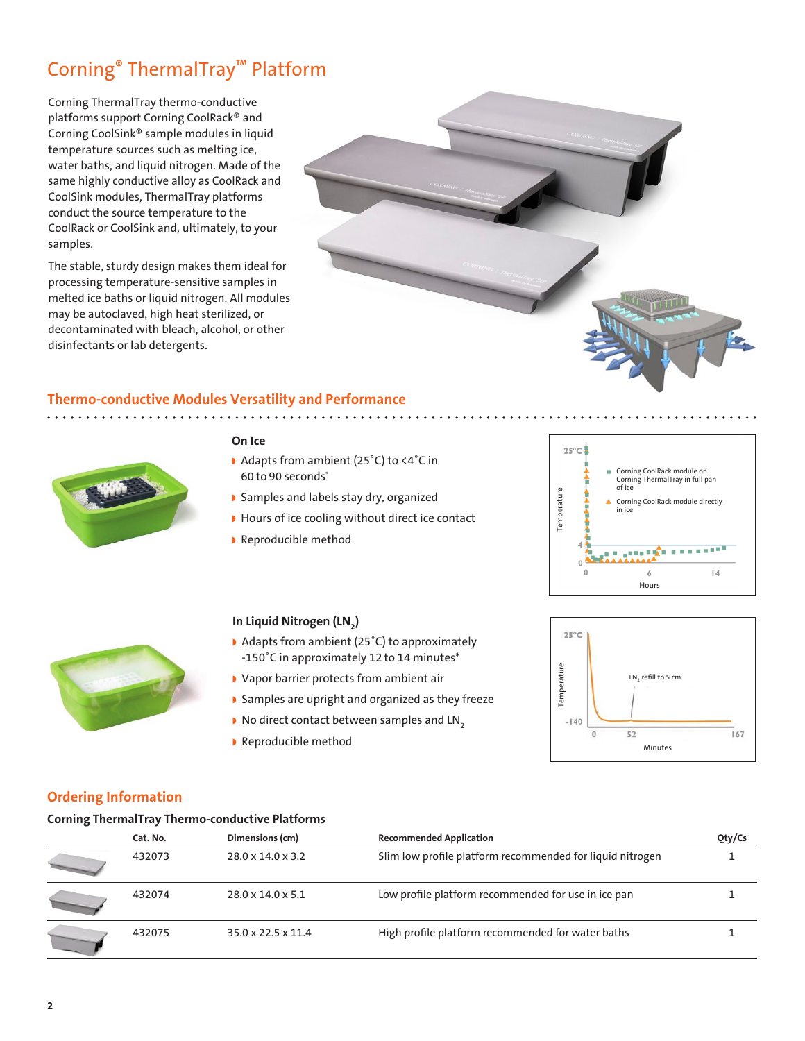# Corning® ThermalTray™ Platform

Corning ThermalTray thermo-conductive platforms support Corning CoolRack® and Corning CoolSink® sample modules in liquid temperature sources such as melting ice, water baths, and liquid nitrogen. Made of the same highly conductive alloy as CoolRack and CoolSink modules, ThermalTray platforms conduct the source temperature to the CoolRack or CoolSink and, ultimately, to your samples.

The stable, sturdy design makes them ideal for processing temperature-sensitive samples in melted ice baths or liquid nitrogen. All modules may be autoclaved, high heat sterilized, or decontaminated with bleach, alcohol, or other disinfectants or lab detergents.



## **Thermo-conductive Modules Versatility and Performance**



#### **On Ice**

- ◗ Adapts from ambient (25˚C) to <4˚C in 60 to 90 seconds\*
- ◗ Samples and labels stay dry, organized
- ◗ Hours of ice cooling without direct ice contact
- ◗ Reproducible method





### **In Liquid Nitrogen (LN2)**

- ◗ Adapts from ambient (25˚C) to approximately -150˚C in approximately 12 to 14 minutes\*
- ◗ Vapor barrier protects from ambient air
- ◗ Samples are upright and organized as they freeze
- No direct contact between samples and LN<sub>2</sub>
- ◗ Reproducible method



### **Ordering Information**

#### **Corning ThermalTray Thermo-conductive Platforms**

| Cat. No. | Dimensions (cm)               | <b>Recommended Application</b>                            | Qty/Cs |
|----------|-------------------------------|-----------------------------------------------------------|--------|
| 432073   | $28.0 \times 14.0 \times 3.2$ | Slim low profile platform recommended for liquid nitrogen |        |
| 432074   | $28.0 \times 14.0 \times 5.1$ | Low profile platform recommended for use in ice pan       |        |
| 432075   | 35.0 x 22.5 x 11.4            | High profile platform recommended for water baths         |        |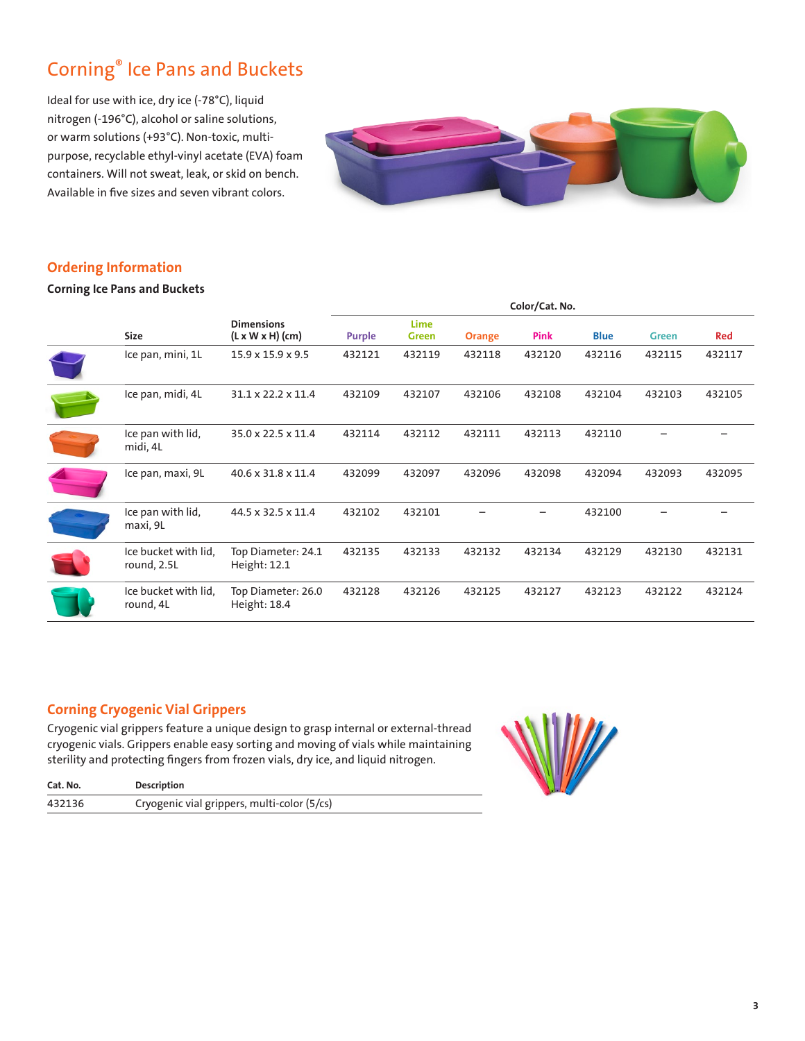# Corning® Ice Pans and Buckets

Ideal for use with ice, dry ice (-78°C), liquid nitrogen (-196°C), alcohol or saline solutions, or warm solutions (+93°C). Non-toxic, multipurpose, recyclable ethyl-vinyl acetate (EVA) foam containers. Will not sweat, leak, or skid on bench. Available in five sizes and seven vibrant colors.



## **Ordering Information**

**Corning Ice Pans and Buckets**

|                                     |                                                   | Color/Cat. No. |                             |               |        |             |              |        |
|-------------------------------------|---------------------------------------------------|----------------|-----------------------------|---------------|--------|-------------|--------------|--------|
| <b>Size</b>                         | <b>Dimensions</b><br>$(L \times W \times H)$ (cm) | <b>Purple</b>  | <b>Lime</b><br><b>Green</b> | <b>Orange</b> | Pink   | <b>Blue</b> | <b>Green</b> | Red    |
| Ice pan, mini, 1L                   | $15.9 \times 15.9 \times 9.5$                     | 432121         | 432119                      | 432118        | 432120 | 432116      | 432115       | 432117 |
| Ice pan, midi, 4L                   | $31.1 \times 22.2 \times 11.4$                    | 432109         | 432107                      | 432106        | 432108 | 432104      | 432103       | 432105 |
| Ice pan with lid,<br>midi, 4L       | 35.0 x 22.5 x 11.4                                | 432114         | 432112                      | 432111        | 432113 | 432110      |              |        |
| Ice pan, maxi, 9L                   | 40.6 x 31.8 x 11.4                                | 432099         | 432097                      | 432096        | 432098 | 432094      | 432093       | 432095 |
| Ice pan with lid,<br>maxi, 9L       | 44.5 x 32.5 x 11.4                                | 432102         | 432101                      |               |        | 432100      |              |        |
| Ice bucket with lid,<br>round, 2.5L | Top Diameter: 24.1<br>Height: 12.1                | 432135         | 432133                      | 432132        | 432134 | 432129      | 432130       | 432131 |
| Ice bucket with lid,<br>round, 4L   | Top Diameter: 26.0<br>Height: 18.4                | 432128         | 432126                      | 432125        | 432127 | 432123      | 432122       | 432124 |

## **Corning Cryogenic Vial Grippers**

Cryogenic vial grippers feature a unique design to grasp internal or external-thread cryogenic vials. Grippers enable easy sorting and moving of vials while maintaining sterility and protecting fingers from frozen vials, dry ice, and liquid nitrogen.



| Cat. No. | Description                                 |
|----------|---------------------------------------------|
| 432136   | Cryogenic vial grippers, multi-color (5/cs) |